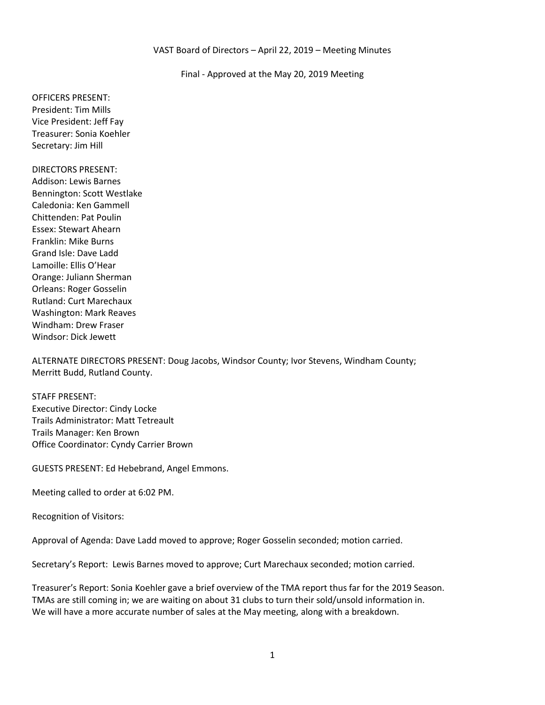#### VAST Board of Directors – April 22, 2019 – Meeting Minutes

Final - Approved at the May 20, 2019 Meeting

OFFICERS PRESENT: President: Tim Mills Vice President: Jeff Fay Treasurer: Sonia Koehler Secretary: Jim Hill

DIRECTORS PRESENT: Addison: Lewis Barnes Bennington: Scott Westlake Caledonia: Ken Gammell Chittenden: Pat Poulin Essex: Stewart Ahearn Franklin: Mike Burns Grand Isle: Dave Ladd Lamoille: Ellis O'Hear Orange: Juliann Sherman Orleans: Roger Gosselin Rutland: Curt Marechaux Washington: Mark Reaves Windham: Drew Fraser Windsor: Dick Jewett

ALTERNATE DIRECTORS PRESENT: Doug Jacobs, Windsor County; Ivor Stevens, Windham County; Merritt Budd, Rutland County.

STAFF PRESENT: Executive Director: Cindy Locke Trails Administrator: Matt Tetreault Trails Manager: Ken Brown Office Coordinator: Cyndy Carrier Brown

GUESTS PRESENT: Ed Hebebrand, Angel Emmons.

Meeting called to order at 6:02 PM.

Recognition of Visitors:

Approval of Agenda: Dave Ladd moved to approve; Roger Gosselin seconded; motion carried.

Secretary's Report: Lewis Barnes moved to approve; Curt Marechaux seconded; motion carried.

Treasurer's Report: Sonia Koehler gave a brief overview of the TMA report thus far for the 2019 Season. TMAs are still coming in; we are waiting on about 31 clubs to turn their sold/unsold information in. We will have a more accurate number of sales at the May meeting, along with a breakdown.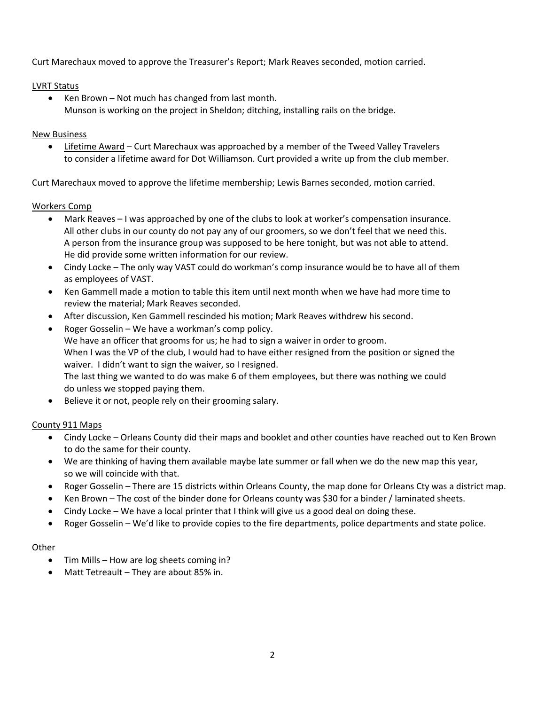Curt Marechaux moved to approve the Treasurer's Report; Mark Reaves seconded, motion carried.

# LVRT Status

 Ken Brown – Not much has changed from last month. Munson is working on the project in Sheldon; ditching, installing rails on the bridge.

## New Business

• Lifetime Award – Curt Marechaux was approached by a member of the Tweed Valley Travelers to consider a lifetime award for Dot Williamson. Curt provided a write up from the club member.

Curt Marechaux moved to approve the lifetime membership; Lewis Barnes seconded, motion carried.

# Workers Comp

- Mark Reaves I was approached by one of the clubs to look at worker's compensation insurance. All other clubs in our county do not pay any of our groomers, so we don't feel that we need this. A person from the insurance group was supposed to be here tonight, but was not able to attend. He did provide some written information for our review.
- Cindy Locke The only way VAST could do workman's comp insurance would be to have all of them as employees of VAST.
- Ken Gammell made a motion to table this item until next month when we have had more time to review the material; Mark Reaves seconded.
- After discussion, Ken Gammell rescinded his motion; Mark Reaves withdrew his second.
- Roger Gosselin We have a workman's comp policy. We have an officer that grooms for us; he had to sign a waiver in order to groom. When I was the VP of the club, I would had to have either resigned from the position or signed the waiver. I didn't want to sign the waiver, so I resigned. The last thing we wanted to do was make 6 of them employees, but there was nothing we could do unless we stopped paying them.
- Believe it or not, people rely on their grooming salary.

# County 911 Maps

- Cindy Locke Orleans County did their maps and booklet and other counties have reached out to Ken Brown to do the same for their county.
- We are thinking of having them available maybe late summer or fall when we do the new map this year, so we will coincide with that.
- Roger Gosselin There are 15 districts within Orleans County, the map done for Orleans Cty was a district map.
- Ken Brown The cost of the binder done for Orleans county was \$30 for a binder / laminated sheets.
- Cindy Locke We have a local printer that I think will give us a good deal on doing these.
- Roger Gosselin We'd like to provide copies to the fire departments, police departments and state police.

## **Other**

- Tim Mills How are log sheets coming in?
- Matt Tetreault They are about 85% in.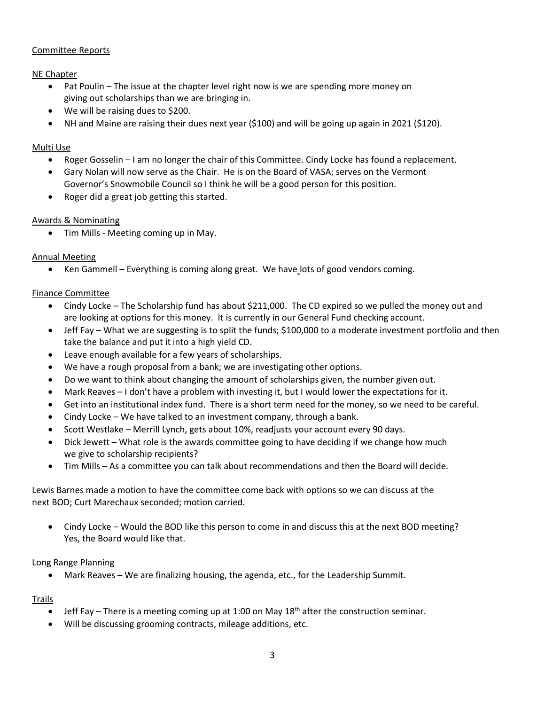# Committee Reports

## NE Chapter

- Pat Poulin The issue at the chapter level right now is we are spending more money on giving out scholarships than we are bringing in.
- We will be raising dues to \$200.
- NH and Maine are raising their dues next year (\$100) and will be going up again in 2021 (\$120).

### Multi Use

- Roger Gosselin I am no longer the chair of this Committee. Cindy Locke has found a replacement.
- Gary Nolan will now serve as the Chair. He is on the Board of VASA; serves on the Vermont Governor's Snowmobile Council so I think he will be a good person for this position.
- Roger did a great job getting this started.

## Awards & Nominating

• Tim Mills - Meeting coming up in May.

## Annual Meeting

Ken Gammell – Everything is coming along great. We have lots of good vendors coming.

## Finance Committee

- Cindy Locke The Scholarship fund has about \$211,000. The CD expired so we pulled the money out and are looking at options for this money. It is currently in our General Fund checking account.
- Jeff Fay What we are suggesting is to split the funds; \$100,000 to a moderate investment portfolio and then take the balance and put it into a high yield CD.
- Leave enough available for a few years of scholarships.
- We have a rough proposal from a bank; we are investigating other options.
- Do we want to think about changing the amount of scholarships given, the number given out.
- Mark Reaves I don't have a problem with investing it, but I would lower the expectations for it.
- Get into an institutional index fund. There is a short term need for the money, so we need to be careful.
- Cindy Locke We have talked to an investment company, through a bank.
- Scott Westlake Merrill Lynch, gets about 10%, readjusts your account every 90 days.
- Dick Jewett What role is the awards committee going to have deciding if we change how much we give to scholarship recipients?
- Tim Mills As a committee you can talk about recommendations and then the Board will decide.

Lewis Barnes made a motion to have the committee come back with options so we can discuss at the next BOD; Curt Marechaux seconded; motion carried.

 Cindy Locke – Would the BOD like this person to come in and discuss this at the next BOD meeting? Yes, the Board would like that.

## Long Range Planning

Mark Reaves – We are finalizing housing, the agenda, etc., for the Leadership Summit.

## Trails

- $\bullet$  Jeff Fay There is a meeting coming up at 1:00 on May 18<sup>th</sup> after the construction seminar.
- Will be discussing grooming contracts, mileage additions, etc.